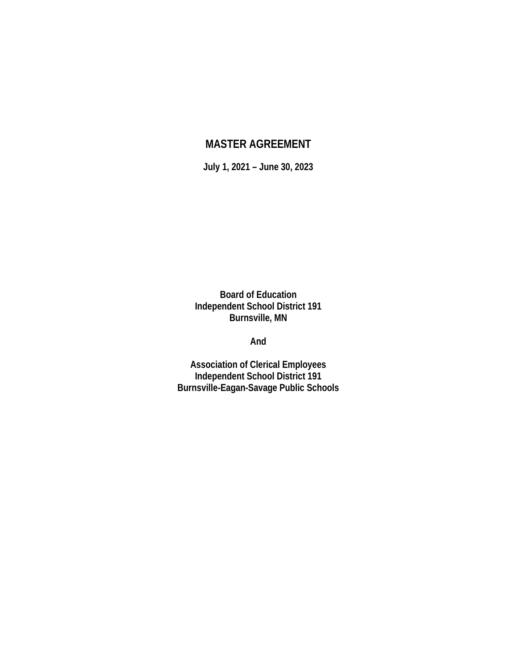# **MASTER AGREEMENT**

**July 1, 2021 – June 30, 2023**

**Board of Education Independent School District 191 Burnsville, MN** 

**And**

**Association of Clerical Employees Independent School District 191 Burnsville-Eagan-Savage Public Schools**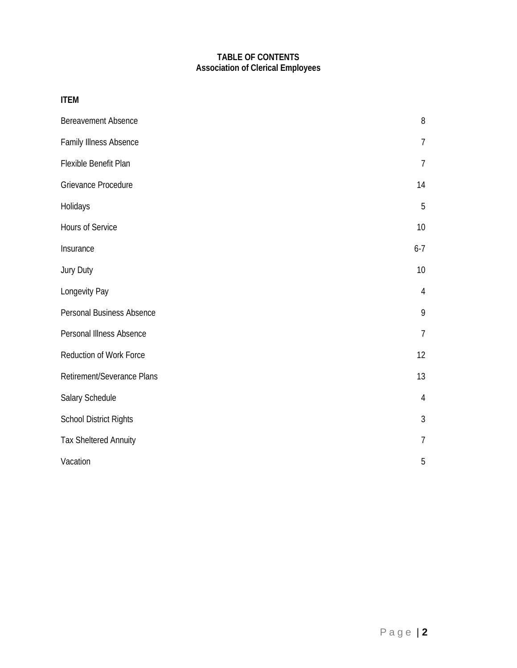# **TABLE OF CONTENTS Association of Clerical Employees**

| <b>ITEM</b>                   |                |
|-------------------------------|----------------|
| <b>Bereavement Absence</b>    | 8              |
| Family Illness Absence        | $\overline{7}$ |
| Flexible Benefit Plan         | $\overline{1}$ |
| Grievance Procedure           | 14             |
| Holidays                      | 5              |
| Hours of Service              | 10             |
| Insurance                     | $6-7$          |
| Jury Duty                     | 10             |
| Longevity Pay                 | 4              |
| Personal Business Absence     | 9              |
| Personal Illness Absence      | $\overline{1}$ |
| Reduction of Work Force       | 12             |
| Retirement/Severance Plans    | 13             |
| Salary Schedule               | $\overline{4}$ |
| <b>School District Rights</b> | 3              |
| <b>Tax Sheltered Annuity</b>  | 7              |
| Vacation                      | 5              |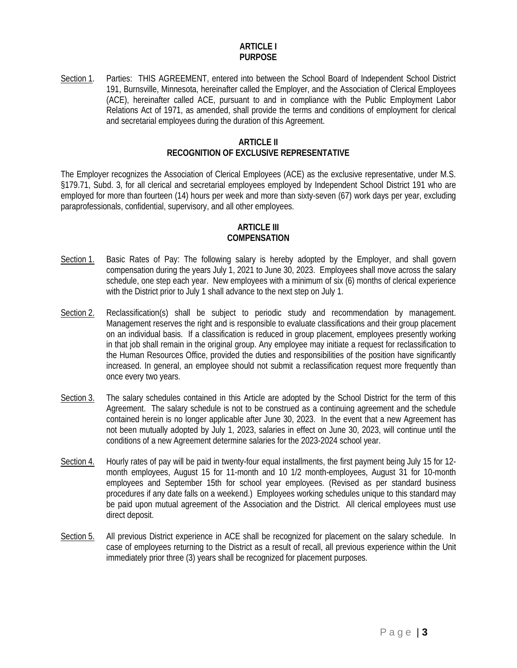### **ARTICLE I PURPOSE**

Section 1. Parties: THIS AGREEMENT, entered into between the School Board of Independent School District 191, Burnsville, Minnesota, hereinafter called the Employer, and the Association of Clerical Employees (ACE), hereinafter called ACE, pursuant to and in compliance with the Public Employment Labor Relations Act of 1971, as amended, shall provide the terms and conditions of employment for clerical and secretarial employees during the duration of this Agreement.

### **ARTICLE II RECOGNITION OF EXCLUSIVE REPRESENTATIVE**

The Employer recognizes the Association of Clerical Employees (ACE) as the exclusive representative, under M.S. §179.71, Subd. 3, for all clerical and secretarial employees employed by Independent School District 191 who are employed for more than fourteen (14) hours per week and more than sixty-seven (67) work days per year, excluding paraprofessionals, confidential, supervisory, and all other employees.

## **ARTICLE III COMPENSATION**

- Section 1. Basic Rates of Pay: The following salary is hereby adopted by the Employer, and shall govern compensation during the years July 1, 2021 to June 30, 2023. Employees shall move across the salary schedule, one step each year. New employees with a minimum of six (6) months of clerical experience with the District prior to July 1 shall advance to the next step on July 1.
- Section 2. Reclassification(s) shall be subject to periodic study and recommendation by management. Management reserves the right and is responsible to evaluate classifications and their group placement on an individual basis. If a classification is reduced in group placement, employees presently working in that job shall remain in the original group. Any employee may initiate a request for reclassification to the Human Resources Office, provided the duties and responsibilities of the position have significantly increased. In general, an employee should not submit a reclassification request more frequently than once every two years.
- Section 3. The salary schedules contained in this Article are adopted by the School District for the term of this Agreement. The salary schedule is not to be construed as a continuing agreement and the schedule contained herein is no longer applicable after June 30, 2023. In the event that a new Agreement has not been mutually adopted by July 1, 2023, salaries in effect on June 30, 2023, will continue until the conditions of a new Agreement determine salaries for the 2023-2024 school year.
- Section 4. Hourly rates of pay will be paid in twenty-four equal installments, the first payment being July 15 for 12 month employees, August 15 for 11-month and 10 1/2 month-employees, August 31 for 10-month employees and September 15th for school year employees. (Revised as per standard business procedures if any date falls on a weekend.) Employees working schedules unique to this standard may be paid upon mutual agreement of the Association and the District. All clerical employees must use direct deposit.
- Section 5. All previous District experience in ACE shall be recognized for placement on the salary schedule. In case of employees returning to the District as a result of recall, all previous experience within the Unit immediately prior three (3) years shall be recognized for placement purposes.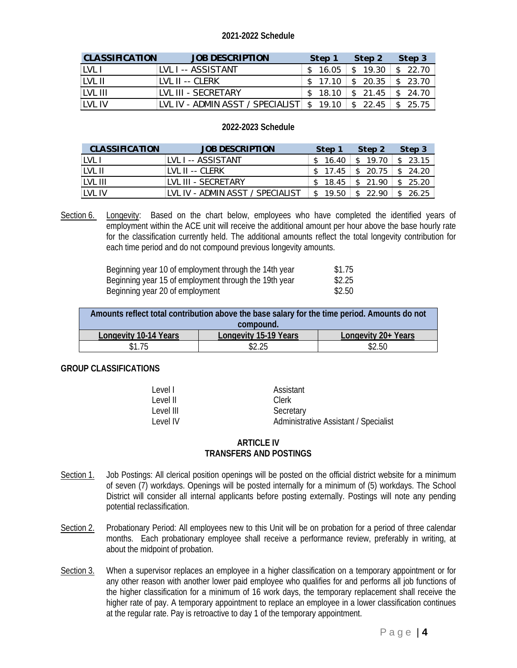## **2021-2022 Schedule**

| <b>CLASSIFICATION</b> | <b>JOB DESCRIPTION</b>                                                   | Step 1                       | Step 2                                                                  | Step 3                 |
|-----------------------|--------------------------------------------------------------------------|------------------------------|-------------------------------------------------------------------------|------------------------|
| LVL I                 | LVL I -- ASSISTANT                                                       | \$16.05                      | \$ 19.30                                                                | \$22.70                |
| LVL II                | ILVL II -- CLERK                                                         | \$17.10                      | $\begin{array}{ c c c c }\n\hline \text{s} & \text{20.35}\n\end{array}$ | \$23.70                |
| LVL III               | TVL III - SECRETARY                                                      | $$18.10 \;   \; $21.45 \;  $ |                                                                         | $\frac{1}{2}$ \$ 24.70 |
| TVL IV                | LVL IV - ADMIN ASST / SPECIALIST $\frac{1}{2}$ 19.10 $\frac{1}{2}$ 22.45 |                              |                                                                         | \$25.75                |

## **2022-2023 Schedule**

| <b>CLASSIFICATION</b> | <b>JOB DESCRIPTION</b>           | Step 1  | Step 2                   | Step 3   |  |
|-----------------------|----------------------------------|---------|--------------------------|----------|--|
| LVL I                 | LVL I -- ASSISTANT               | \$16.40 | \$19.70                  | \$23.15  |  |
| TVL II                | IVIII--CIFRK                     |         | $$17.45 \;   \; $20.75$$ | \$24.20  |  |
| TVL III               | TVL III - SECRETARY              |         | $$18.45$ $$21.90$        | \$25.20  |  |
| TVL IV                | TVL IV - ADMIN ASST / SPECIALIST | \$19.50 | \$22.90                  | \$ 26.25 |  |

Section 6. Longevity: Based on the chart below, employees who have completed the identified years of employment within the ACE unit will receive the additional amount per hour above the base hourly rate for the classification currently held. The additional amounts reflect the total longevity contribution for each time period and do not compound previous longevity amounts.

| Beginning year 10 of employment through the 14th year | \$1.75 |
|-------------------------------------------------------|--------|
| Beginning year 15 of employment through the 19th year | \$2.25 |
| Beginning year 20 of employment                       | \$2.50 |

| Amounts reflect total contribution above the base salary for the time period. Amounts do not |                       |                     |  |  |  |  |  |  |
|----------------------------------------------------------------------------------------------|-----------------------|---------------------|--|--|--|--|--|--|
| compound.                                                                                    |                       |                     |  |  |  |  |  |  |
| Longevity 10-14 Years                                                                        | Longevity 15-19 Years | Longevity 20+ Years |  |  |  |  |  |  |
| \$1.75                                                                                       | \$2.25                | \$2.50              |  |  |  |  |  |  |

### **GROUP CLASSIFICATIONS**

| l evel l  | Assistant                             |
|-----------|---------------------------------------|
| Level II  | Clerk                                 |
| Level III | Secretary                             |
| Level IV  | Administrative Assistant / Specialist |

## **ARTICLE IV TRANSFERS AND POSTINGS**

- Section 1. Job Postings: All clerical position openings will be posted on the official district website for a minimum of seven (7) workdays. Openings will be posted internally for a minimum of (5) workdays. The School District will consider all internal applicants before posting externally. Postings will note any pending potential reclassification.
- Section 2. Probationary Period: All employees new to this Unit will be on probation for a period of three calendar months. Each probationary employee shall receive a performance review, preferably in writing, at about the midpoint of probation.
- Section 3. When a supervisor replaces an employee in a higher classification on a temporary appointment or for any other reason with another lower paid employee who qualifies for and performs all job functions of the higher classification for a minimum of 16 work days, the temporary replacement shall receive the higher rate of pay. A temporary appointment to replace an employee in a lower classification continues at the regular rate. Pay is retroactive to day 1 of the temporary appointment.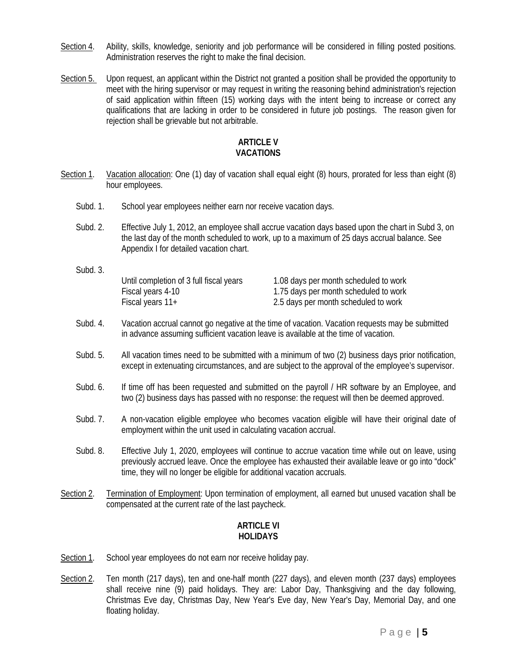- Section 4. Ability, skills, knowledge, seniority and job performance will be considered in filling posted positions. Administration reserves the right to make the final decision.
- Section 5. Upon request, an applicant within the District not granted a position shall be provided the opportunity to meet with the hiring supervisor or may request in writing the reasoning behind administration's rejection of said application within fifteen (15) working days with the intent being to increase or correct any qualifications that are lacking in order to be considered in future job postings. The reason given for rejection shall be grievable but not arbitrable.

### **ARTICLE V VACATIONS**

- Section 1. Vacation allocation: One (1) day of vacation shall equal eight (8) hours, prorated for less than eight (8) hour employees.
	- Subd. 1. School year employees neither earn nor receive vacation days.
	- Subd. 2. Effective July 1, 2012, an employee shall accrue vacation days based upon the chart in Subd 3, on the last day of the month scheduled to work, up to a maximum of 25 days accrual balance. See Appendix I for detailed vacation chart.
	- Subd. 3. Until completion of 3 full fiscal years 1.08 days per month scheduled to work Fiscal years 4-10 1.75 days per month scheduled to work Fiscal years 11+ 2.5 days per month scheduled to work
	- Subd. 4. Vacation accrual cannot go negative at the time of vacation. Vacation requests may be submitted in advance assuming sufficient vacation leave is available at the time of vacation.
	- Subd. 5. All vacation times need to be submitted with a minimum of two (2) business days prior notification, except in extenuating circumstances, and are subject to the approval of the employee's supervisor.
	- Subd. 6. If time off has been requested and submitted on the payroll / HR software by an Employee, and two (2) business days has passed with no response: the request will then be deemed approved.
	- Subd. 7. A non-vacation eligible employee who becomes vacation eligible will have their original date of employment within the unit used in calculating vacation accrual.
	- Subd. 8. Effective July 1, 2020, employees will continue to accrue vacation time while out on leave, using previously accrued leave. Once the employee has exhausted their available leave or go into "dock" time, they will no longer be eligible for additional vacation accruals.
- Section 2. Termination of Employment: Upon termination of employment, all earned but unused vacation shall be compensated at the current rate of the last paycheck.

### **ARTICLE VI HOLIDAYS**

- Section 1. School year employees do not earn nor receive holiday pay.
- Section 2. Ten month (217 days), ten and one-half month (227 days), and eleven month (237 days) employees shall receive nine (9) paid holidays. They are: Labor Day, Thanksgiving and the day following, Christmas Eve day, Christmas Day, New Year's Eve day, New Year's Day, Memorial Day, and one floating holiday.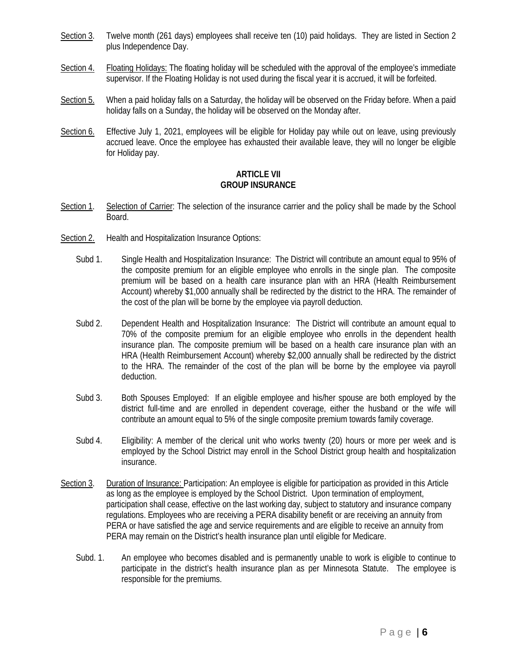- Section 3. Twelve month (261 days) employees shall receive ten (10) paid holidays. They are listed in Section 2 plus Independence Day.
- Section 4. Floating Holidays: The floating holiday will be scheduled with the approval of the employee's immediate supervisor. If the Floating Holiday is not used during the fiscal year it is accrued, it will be forfeited.
- Section 5. When a paid holiday falls on a Saturday, the holiday will be observed on the Friday before. When a paid holiday falls on a Sunday, the holiday will be observed on the Monday after.
- Section 6. Effective July 1, 2021, employees will be eligible for Holiday pay while out on leave, using previously accrued leave. Once the employee has exhausted their available leave, they will no longer be eligible for Holiday pay.

### **ARTICLE VII GROUP INSURANCE**

- Section 1. Selection of Carrier: The selection of the insurance carrier and the policy shall be made by the School Board.
- Section 2. Health and Hospitalization Insurance Options:
	- Subd 1. Single Health and Hospitalization Insurance: The District will contribute an amount equal to 95% of the composite premium for an eligible employee who enrolls in the single plan. The composite premium will be based on a health care insurance plan with an HRA (Health Reimbursement Account) whereby \$1,000 annually shall be redirected by the district to the HRA. The remainder of the cost of the plan will be borne by the employee via payroll deduction.
	- Subd 2. Dependent Health and Hospitalization Insurance: The District will contribute an amount equal to 70% of the composite premium for an eligible employee who enrolls in the dependent health insurance plan. The composite premium will be based on a health care insurance plan with an HRA (Health Reimbursement Account) whereby \$2,000 annually shall be redirected by the district to the HRA. The remainder of the cost of the plan will be borne by the employee via payroll deduction.
	- Subd 3. Both Spouses Employed: If an eligible employee and his/her spouse are both employed by the district full-time and are enrolled in dependent coverage, either the husband or the wife will contribute an amount equal to 5% of the single composite premium towards family coverage.
	- Subd 4. Eligibility: A member of the clerical unit who works twenty (20) hours or more per week and is employed by the School District may enroll in the School District group health and hospitalization insurance.
- Section 3. Duration of Insurance: Participation: An employee is eligible for participation as provided in this Article as long as the employee is employed by the School District. Upon termination of employment, participation shall cease, effective on the last working day, subject to statutory and insurance company regulations. Employees who are receiving a PERA disability benefit or are receiving an annuity from PERA or have satisfied the age and service requirements and are eligible to receive an annuity from PERA may remain on the District's health insurance plan until eligible for Medicare.
	- Subd. 1. An employee who becomes disabled and is permanently unable to work is eligible to continue to participate in the district's health insurance plan as per Minnesota Statute. The employee is responsible for the premiums.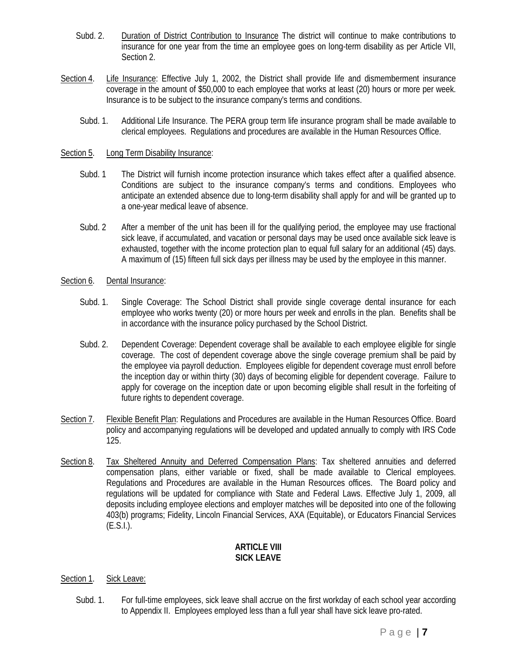- Subd. 2. Duration of District Contribution to Insurance The district will continue to make contributions to insurance for one year from the time an employee goes on long-term disability as per Article VII, Section 2.
- Section 4. Life Insurance: Effective July 1, 2002, the District shall provide life and dismemberment insurance coverage in the amount of \$50,000 to each employee that works at least (20) hours or more per week. Insurance is to be subject to the insurance company's terms and conditions.
	- Subd. 1. Additional Life Insurance. The PERA group term life insurance program shall be made available to clerical employees. Regulations and procedures are available in the Human Resources Office.

### Section 5. Long Term Disability Insurance:

- Subd. 1 The District will furnish income protection insurance which takes effect after a qualified absence. Conditions are subject to the insurance company's terms and conditions. Employees who anticipate an extended absence due to long-term disability shall apply for and will be granted up to a one-year medical leave of absence.
- Subd. 2 After a member of the unit has been ill for the qualifying period, the employee may use fractional sick leave, if accumulated, and vacation or personal days may be used once available sick leave is exhausted, together with the income protection plan to equal full salary for an additional (45) days. A maximum of (15) fifteen full sick days per illness may be used by the employee in this manner.

### Section 6. Dental Insurance:

- Subd. 1. Single Coverage: The School District shall provide single coverage dental insurance for each employee who works twenty (20) or more hours per week and enrolls in the plan. Benefits shall be in accordance with the insurance policy purchased by the School District.
- Subd. 2. Dependent Coverage: Dependent coverage shall be available to each employee eligible for single coverage. The cost of dependent coverage above the single coverage premium shall be paid by the employee via payroll deduction. Employees eligible for dependent coverage must enroll before the inception day or within thirty (30) days of becoming eligible for dependent coverage. Failure to apply for coverage on the inception date or upon becoming eligible shall result in the forfeiting of future rights to dependent coverage.
- Section 7. Flexible Benefit Plan: Regulations and Procedures are available in the Human Resources Office. Board policy and accompanying regulations will be developed and updated annually to comply with IRS Code 125.
- Section 8. Tax Sheltered Annuity and Deferred Compensation Plans: Tax sheltered annuities and deferred compensation plans, either variable or fixed, shall be made available to Clerical employees. Regulations and Procedures are available in the Human Resources offices. The Board policy and regulations will be updated for compliance with State and Federal Laws. Effective July 1, 2009, all deposits including employee elections and employer matches will be deposited into one of the following 403(b) programs; Fidelity, Lincoln Financial Services, AXA (Equitable), or Educators Financial Services  $(E.S.I.).$

### **ARTICLE VIII SICK LEAVE**

### Section 1. Sick Leave:

Subd. 1. For full-time employees, sick leave shall accrue on the first workday of each school year according to Appendix II. Employees employed less than a full year shall have sick leave pro-rated.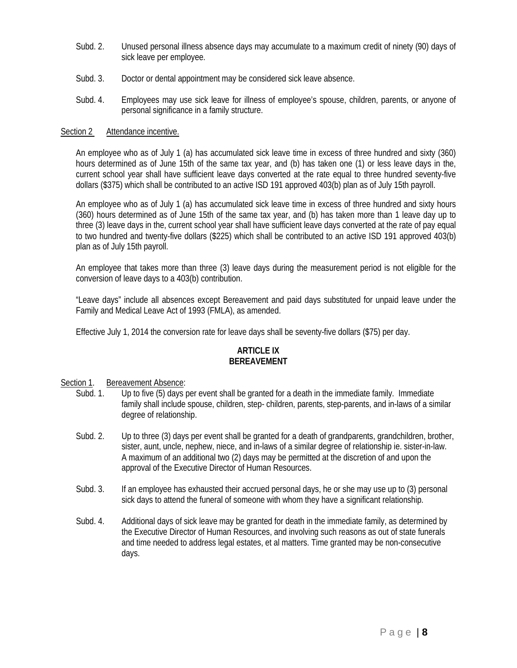- Subd. 2. Unused personal illness absence days may accumulate to a maximum credit of ninety (90) days of sick leave per employee.
- Subd. 3. Doctor or dental appointment may be considered sick leave absence.
- Subd. 4. Employees may use sick leave for illness of employee's spouse, children, parents, or anyone of personal significance in a family structure.

### Section 2 Attendance incentive.

An employee who as of July 1 (a) has accumulated sick leave time in excess of three hundred and sixty (360) hours determined as of June 15th of the same tax year, and (b) has taken one (1) or less leave days in the, current school year shall have sufficient leave days converted at the rate equal to three hundred seventy-five dollars (\$375) which shall be contributed to an active ISD 191 approved 403(b) plan as of July 15th payroll.

An employee who as of July 1 (a) has accumulated sick leave time in excess of three hundred and sixty hours (360) hours determined as of June 15th of the same tax year, and (b) has taken more than 1 leave day up to three (3) leave days in the, current school year shall have sufficient leave days converted at the rate of pay equal to two hundred and twenty-five dollars (\$225) which shall be contributed to an active ISD 191 approved 403(b) plan as of July 15th payroll.

An employee that takes more than three (3) leave days during the measurement period is not eligible for the conversion of leave days to a 403(b) contribution.

"Leave days" include all absences except Bereavement and paid days substituted for unpaid leave under the Family and Medical Leave Act of 1993 (FMLA), as amended.

Effective July 1, 2014 the conversion rate for leave days shall be seventy-five dollars (\$75) per day.

## **ARTICLE IX BEREAVEMENT**

## Section 1. Bereavement Absence:

- Subd. 1. Up to five (5) days per event shall be granted for a death in the immediate family. Immediate family shall include spouse, children, step- children, parents, step-parents, and in-laws of a similar degree of relationship.
- Subd. 2. Up to three (3) days per event shall be granted for a death of grandparents, grandchildren, brother, sister, aunt, uncle, nephew, niece, and in-laws of a similar degree of relationship ie. sister-in-law. A maximum of an additional two (2) days may be permitted at the discretion of and upon the approval of the Executive Director of Human Resources.
- Subd. 3. If an employee has exhausted their accrued personal days, he or she may use up to (3) personal sick days to attend the funeral of someone with whom they have a significant relationship.
- Subd. 4. Additional days of sick leave may be granted for death in the immediate family, as determined by the Executive Director of Human Resources, and involving such reasons as out of state funerals and time needed to address legal estates, et al matters. Time granted may be non-consecutive days.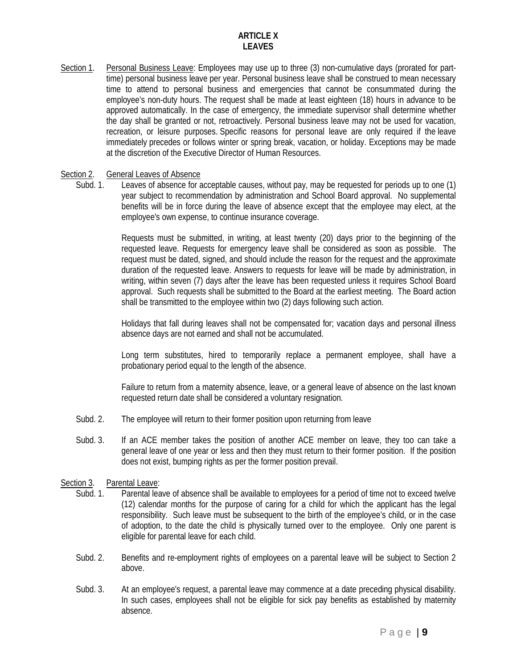## **ARTICLE X LEAVES**

Section 1. Personal Business Leave: Employees may use up to three (3) non-cumulative days (prorated for parttime) personal business leave per year. Personal business leave shall be construed to mean necessary time to attend to personal business and emergencies that cannot be consummated during the employee's non-duty hours. The request shall be made at least eighteen (18) hours in advance to be approved automatically. In the case of emergency, the immediate supervisor shall determine whether the day shall be granted or not, retroactively. Personal business leave may not be used for vacation, recreation, or leisure purposes. Specific reasons for personal leave are only required if the leave immediately precedes or follows winter or spring break, vacation, or holiday. Exceptions may be made at the discretion of the Executive Director of Human Resources.

## Section 2. General Leaves of Absence

Subd. 1. Leaves of absence for acceptable causes, without pay, may be requested for periods up to one (1) year subject to recommendation by administration and School Board approval. No supplemental benefits will be in force during the leave of absence except that the employee may elect, at the employee's own expense, to continue insurance coverage.

> Requests must be submitted, in writing, at least twenty (20) days prior to the beginning of the requested leave. Requests for emergency leave shall be considered as soon as possible. The request must be dated, signed, and should include the reason for the request and the approximate duration of the requested leave. Answers to requests for leave will be made by administration, in writing, within seven (7) days after the leave has been requested unless it requires School Board approval. Such requests shall be submitted to the Board at the earliest meeting. The Board action shall be transmitted to the employee within two (2) days following such action.

> Holidays that fall during leaves shall not be compensated for; vacation days and personal illness absence days are not earned and shall not be accumulated.

> Long term substitutes, hired to temporarily replace a permanent employee, shall have a probationary period equal to the length of the absence.

> Failure to return from a maternity absence, leave, or a general leave of absence on the last known requested return date shall be considered a voluntary resignation.

- Subd. 2. The employee will return to their former position upon returning from leave
- Subd. 3. If an ACE member takes the position of another ACE member on leave, they too can take a general leave of one year or less and then they must return to their former position. If the position does not exist, bumping rights as per the former position prevail.

### Section 3. Parental Leave:

- Subd. 1. Parental leave of absence shall be available to employees for a period of time not to exceed twelve (12) calendar months for the purpose of caring for a child for which the applicant has the legal responsibility. Such leave must be subsequent to the birth of the employee's child, or in the case of adoption, to the date the child is physically turned over to the employee. Only one parent is eligible for parental leave for each child.
- Subd. 2. Benefits and re-employment rights of employees on a parental leave will be subject to Section 2 above.
- Subd. 3. At an employee's request, a parental leave may commence at a date preceding physical disability. In such cases, employees shall not be eligible for sick pay benefits as established by maternity absence.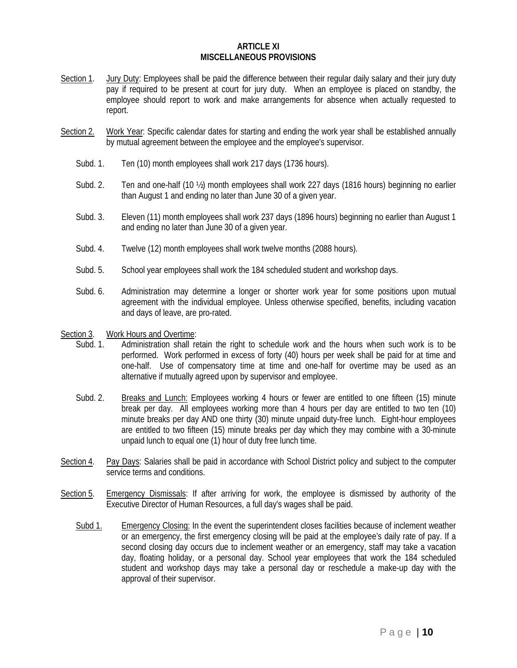#### **ARTICLE XI MISCELLANEOUS PROVISIONS**

- Section 1. Jury Duty: Employees shall be paid the difference between their regular daily salary and their jury duty pay if required to be present at court for jury duty. When an employee is placed on standby, the employee should report to work and make arrangements for absence when actually requested to report.
- Section 2. Work Year: Specific calendar dates for starting and ending the work year shall be established annually by mutual agreement between the employee and the employee's supervisor.
	- Subd. 1. Ten (10) month employees shall work 217 days (1736 hours).
	- Subd. 2. Ten and one-half (10 ½) month employees shall work 227 days (1816 hours) beginning no earlier than August 1 and ending no later than June 30 of a given year.
	- Subd. 3. Eleven (11) month employees shall work 237 days (1896 hours) beginning no earlier than August 1 and ending no later than June 30 of a given year.
	- Subd. 4. Twelve (12) month employees shall work twelve months (2088 hours).
	- Subd. 5. School year employees shall work the 184 scheduled student and workshop days.
	- Subd. 6. Administration may determine a longer or shorter work year for some positions upon mutual agreement with the individual employee. Unless otherwise specified, benefits, including vacation and days of leave, are pro-rated.

### Section 3. Work Hours and Overtime:

- Subd. 1. Administration shall retain the right to schedule work and the hours when such work is to be performed. Work performed in excess of forty (40) hours per week shall be paid for at time and one-half. Use of compensatory time at time and one-half for overtime may be used as an alternative if mutually agreed upon by supervisor and employee.
- Subd. 2. Breaks and Lunch: Employees working 4 hours or fewer are entitled to one fifteen (15) minute break per day. All employees working more than 4 hours per day are entitled to two ten (10) minute breaks per day AND one thirty (30) minute unpaid duty-free lunch. Eight-hour employees are entitled to two fifteen (15) minute breaks per day which they may combine with a 30-minute unpaid lunch to equal one (1) hour of duty free lunch time.
- Section 4. Pay Days: Salaries shall be paid in accordance with School District policy and subject to the computer service terms and conditions.
- Section 5. Emergency Dismissals: If after arriving for work, the employee is dismissed by authority of the Executive Director of Human Resources, a full day's wages shall be paid.
	- Subd 1. Emergency Closing: In the event the superintendent closes facilities because of inclement weather or an emergency, the first emergency closing will be paid at the employee's daily rate of pay. If a second closing day occurs due to inclement weather or an emergency, staff may take a vacation day, floating holiday, or a personal day. School year employees that work the 184 scheduled student and workshop days may take a personal day or reschedule a make-up day with the approval of their supervisor.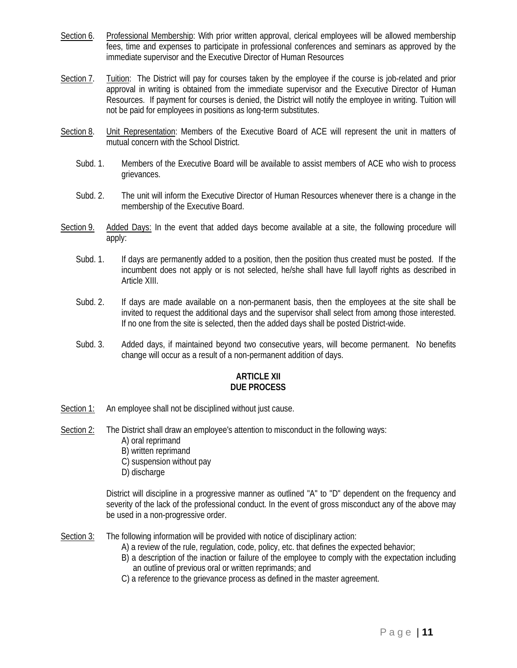- Section 6. Professional Membership: With prior written approval, clerical employees will be allowed membership fees, time and expenses to participate in professional conferences and seminars as approved by the immediate supervisor and the Executive Director of Human Resources
- Section 7. Tuition: The District will pay for courses taken by the employee if the course is job-related and prior approval in writing is obtained from the immediate supervisor and the Executive Director of Human Resources. If payment for courses is denied, the District will notify the employee in writing. Tuition will not be paid for employees in positions as long-term substitutes.
- Section 8. Unit Representation: Members of the Executive Board of ACE will represent the unit in matters of mutual concern with the School District.
	- Subd. 1. Members of the Executive Board will be available to assist members of ACE who wish to process grievances.
	- Subd. 2. The unit will inform the Executive Director of Human Resources whenever there is a change in the membership of the Executive Board.
- Section 9. Added Days: In the event that added days become available at a site, the following procedure will apply:
	- Subd. 1. If days are permanently added to a position, then the position thus created must be posted. If the incumbent does not apply or is not selected, he/she shall have full layoff rights as described in Article XIII.
	- Subd. 2. If days are made available on a non-permanent basis, then the employees at the site shall be invited to request the additional days and the supervisor shall select from among those interested. If no one from the site is selected, then the added days shall be posted District-wide.
	- Subd. 3. Added days, if maintained beyond two consecutive years, will become permanent. No benefits change will occur as a result of a non-permanent addition of days.

## **ARTICLE XII DUE PROCESS**

- Section 1: An employee shall not be disciplined without just cause.
- Section 2: The District shall draw an employee's attention to misconduct in the following ways: A) oral reprimand
	- B) written reprimand
	- C) suspension without pay
	- D) discharge

District will discipline in a progressive manner as outlined "A" to "D" dependent on the frequency and severity of the lack of the professional conduct. In the event of gross misconduct any of the above may be used in a non-progressive order.

Section 3: The following information will be provided with notice of disciplinary action:

- A) a review of the rule, regulation, code, policy, etc. that defines the expected behavior;
- B) a description of the inaction or failure of the employee to comply with the expectation including an outline of previous oral or written reprimands; and
- C) a reference to the grievance process as defined in the master agreement.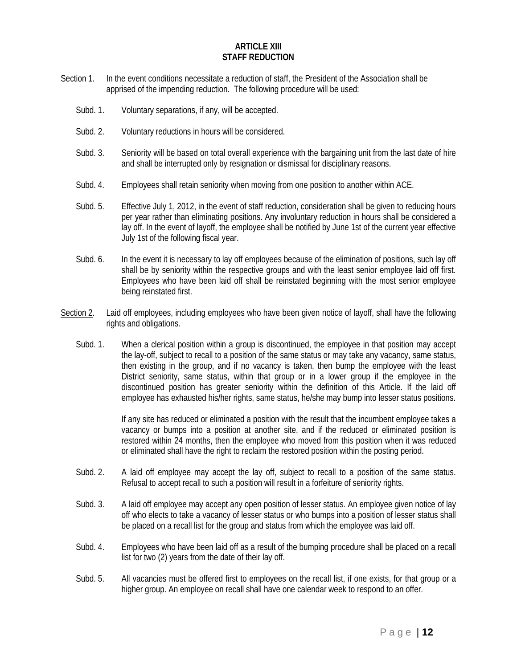### **ARTICLE XIII STAFF REDUCTION**

- Section 1. In the event conditions necessitate a reduction of staff, the President of the Association shall be apprised of the impending reduction. The following procedure will be used:
	- Subd. 1. Voluntary separations, if any, will be accepted.
	- Subd. 2. Voluntary reductions in hours will be considered.
	- Subd. 3. Seniority will be based on total overall experience with the bargaining unit from the last date of hire and shall be interrupted only by resignation or dismissal for disciplinary reasons.
	- Subd. 4. Employees shall retain seniority when moving from one position to another within ACE.
	- Subd. 5. Effective July 1, 2012, in the event of staff reduction, consideration shall be given to reducing hours per year rather than eliminating positions. Any involuntary reduction in hours shall be considered a lay off. In the event of layoff, the employee shall be notified by June 1st of the current year effective July 1st of the following fiscal year.
	- Subd. 6. In the event it is necessary to lay off employees because of the elimination of positions, such lay off shall be by seniority within the respective groups and with the least senior employee laid off first. Employees who have been laid off shall be reinstated beginning with the most senior employee being reinstated first.
- Section 2. Laid off employees, including employees who have been given notice of layoff, shall have the following rights and obligations.
	- Subd. 1. When a clerical position within a group is discontinued, the employee in that position may accept the lay-off, subject to recall to a position of the same status or may take any vacancy, same status, then existing in the group, and if no vacancy is taken, then bump the employee with the least District seniority, same status, within that group or in a lower group if the employee in the discontinued position has greater seniority within the definition of this Article. If the laid off employee has exhausted his/her rights, same status, he/she may bump into lesser status positions.

If any site has reduced or eliminated a position with the result that the incumbent employee takes a vacancy or bumps into a position at another site, and if the reduced or eliminated position is restored within 24 months, then the employee who moved from this position when it was reduced or eliminated shall have the right to reclaim the restored position within the posting period.

- Subd. 2. A laid off employee may accept the lay off, subject to recall to a position of the same status. Refusal to accept recall to such a position will result in a forfeiture of seniority rights.
- Subd. 3. A laid off employee may accept any open position of lesser status. An employee given notice of lay off who elects to take a vacancy of lesser status or who bumps into a position of lesser status shall be placed on a recall list for the group and status from which the employee was laid off.
- Subd. 4. Employees who have been laid off as a result of the bumping procedure shall be placed on a recall list for two (2) years from the date of their lay off.
- Subd. 5. All vacancies must be offered first to employees on the recall list, if one exists, for that group or a higher group. An employee on recall shall have one calendar week to respond to an offer.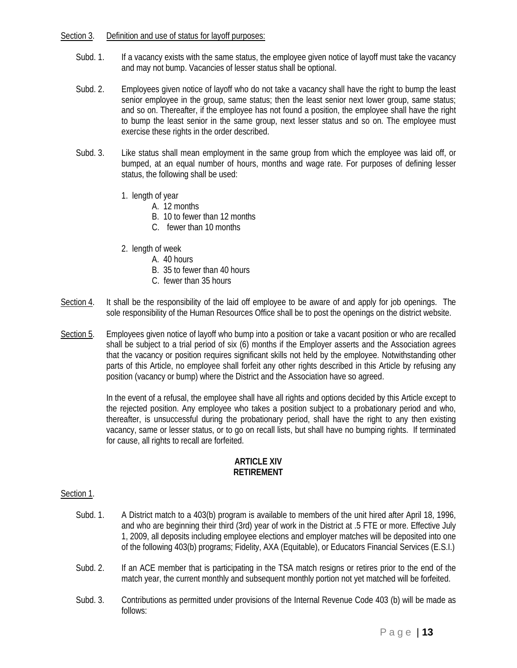## Section 3. Definition and use of status for layoff purposes:

- Subd. 1. If a vacancy exists with the same status, the employee given notice of layoff must take the vacancy and may not bump. Vacancies of lesser status shall be optional.
- Subd. 2. Employees given notice of layoff who do not take a vacancy shall have the right to bump the least senior employee in the group, same status; then the least senior next lower group, same status; and so on. Thereafter, if the employee has not found a position, the employee shall have the right to bump the least senior in the same group, next lesser status and so on. The employee must exercise these rights in the order described.
- Subd. 3. Like status shall mean employment in the same group from which the employee was laid off, or bumped, at an equal number of hours, months and wage rate. For purposes of defining lesser status, the following shall be used:
	- 1. length of year
		- A. 12 months
		- B. 10 to fewer than 12 months
		- C. fewer than 10 months
	- 2. length of week
		- A. 40 hours
		- B. 35 to fewer than 40 hours
		- C. fewer than 35 hours
- Section 4. It shall be the responsibility of the laid off employee to be aware of and apply for job openings. The sole responsibility of the Human Resources Office shall be to post the openings on the district website.
- Section 5. Employees given notice of layoff who bump into a position or take a vacant position or who are recalled shall be subject to a trial period of six (6) months if the Employer asserts and the Association agrees that the vacancy or position requires significant skills not held by the employee. Notwithstanding other parts of this Article, no employee shall forfeit any other rights described in this Article by refusing any position (vacancy or bump) where the District and the Association have so agreed.

In the event of a refusal, the employee shall have all rights and options decided by this Article except to the rejected position. Any employee who takes a position subject to a probationary period and who, thereafter, is unsuccessful during the probationary period, shall have the right to any then existing vacancy, same or lesser status, or to go on recall lists, but shall have no bumping rights. If terminated for cause, all rights to recall are forfeited.

## **ARTICLE XIV RETIREMENT**

## Section 1.

- Subd. 1. A District match to a 403(b) program is available to members of the unit hired after April 18, 1996, and who are beginning their third (3rd) year of work in the District at .5 FTE or more. Effective July 1, 2009, all deposits including employee elections and employer matches will be deposited into one of the following 403(b) programs; Fidelity, AXA (Equitable), or Educators Financial Services (E.S.I.)
- Subd. 2. If an ACE member that is participating in the TSA match resigns or retires prior to the end of the match year, the current monthly and subsequent monthly portion not yet matched will be forfeited.
- Subd. 3. Contributions as permitted under provisions of the Internal Revenue Code 403 (b) will be made as follows: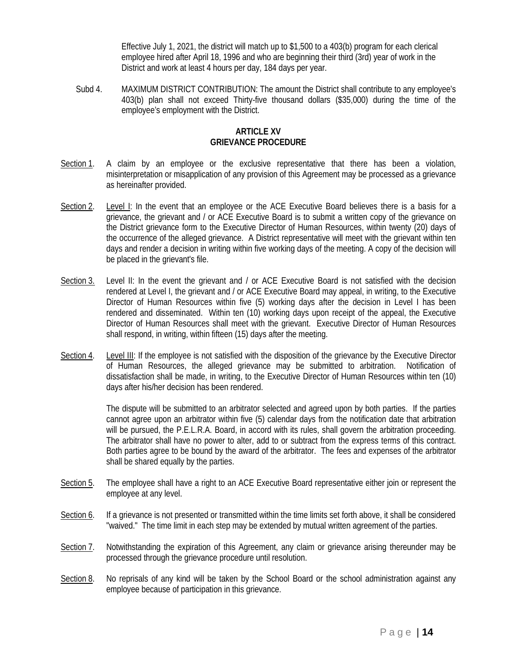Effective July 1, 2021, the district will match up to \$1,500 to a 403(b) program for each clerical employee hired after April 18, 1996 and who are beginning their third (3rd) year of work in the District and work at least 4 hours per day, 184 days per year.

Subd 4. MAXIMUM DISTRICT CONTRIBUTION: The amount the District shall contribute to any employee's 403(b) plan shall not exceed Thirty-five thousand dollars (\$35,000) during the time of the employee's employment with the District.

### **ARTICLE XV GRIEVANCE PROCEDURE**

- Section 1. A claim by an employee or the exclusive representative that there has been a violation, misinterpretation or misapplication of any provision of this Agreement may be processed as a grievance as hereinafter provided.
- Section 2. Level I: In the event that an employee or the ACE Executive Board believes there is a basis for a grievance, the grievant and / or ACE Executive Board is to submit a written copy of the grievance on the District grievance form to the Executive Director of Human Resources, within twenty (20) days of the occurrence of the alleged grievance. A District representative will meet with the grievant within ten days and render a decision in writing within five working days of the meeting. A copy of the decision will be placed in the grievant's file.
- Section 3. Level II: In the event the grievant and / or ACE Executive Board is not satisfied with the decision rendered at Level I, the grievant and / or ACE Executive Board may appeal, in writing, to the Executive Director of Human Resources within five (5) working days after the decision in Level I has been rendered and disseminated. Within ten (10) working days upon receipt of the appeal, the Executive Director of Human Resources shall meet with the grievant. Executive Director of Human Resources shall respond, in writing, within fifteen (15) days after the meeting.
- Section 4. Level III: If the employee is not satisfied with the disposition of the grievance by the Executive Director of Human Resources, the alleged grievance may be submitted to arbitration. Notification of dissatisfaction shall be made, in writing, to the Executive Director of Human Resources within ten (10) days after his/her decision has been rendered.

The dispute will be submitted to an arbitrator selected and agreed upon by both parties. If the parties cannot agree upon an arbitrator within five (5) calendar days from the notification date that arbitration will be pursued, the P.E.L.R.A. Board, in accord with its rules, shall govern the arbitration proceeding. The arbitrator shall have no power to alter, add to or subtract from the express terms of this contract. Both parties agree to be bound by the award of the arbitrator. The fees and expenses of the arbitrator shall be shared equally by the parties.

- Section 5. The employee shall have a right to an ACE Executive Board representative either join or represent the employee at any level.
- Section 6. If a grievance is not presented or transmitted within the time limits set forth above, it shall be considered "waived." The time limit in each step may be extended by mutual written agreement of the parties.
- Section 7. Notwithstanding the expiration of this Agreement, any claim or grievance arising thereunder may be processed through the grievance procedure until resolution.
- Section 8. No reprisals of any kind will be taken by the School Board or the school administration against any employee because of participation in this grievance.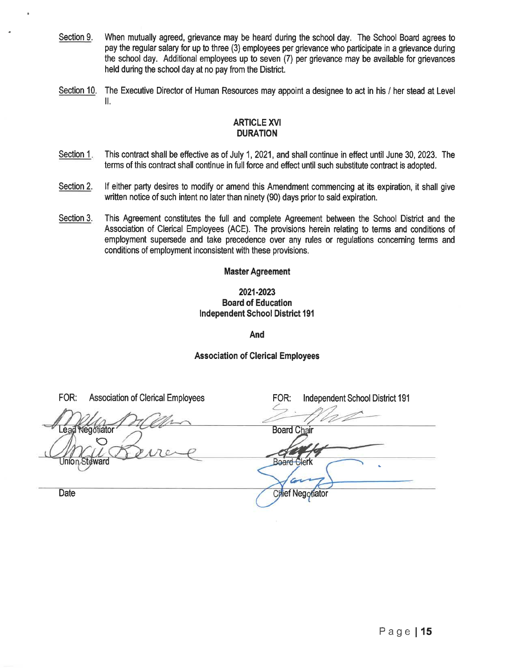- Section 9. When mutually agreed, grievance may be heard during the school day. The School Board agrees to pay the regular salary for up to three (3) employees per grievance who participate in a grievance during the school day. Additional employees up to seven (7) per grievance may be available for grievances held during the school day at no pay from the District.
- Section 10. The Executive Director of Human Resources may appoint a designee to act in his / her stead at Level II.

## **ARTICLE XVI DURATION**

- Section 1. This contract shall be effective as of July 1, 2021, and shall continue in effect until June 30, 2023. The terms of this contract shall continue in full force and effect until such substitute contract is adopted.
- Section 2. If either party desires to modify or amend this Amendment commencing at its expiration, it shall give written notice of such intent no later than ninety (90) days prior to said expiration.
- Section 3. This Agreement constitutes the full and complete Agreement between the School District and the Association of Clerical Employees (ACE). The provisions herein relating to terms and conditions of employment supersede and take precedence over any rules or regulations concerning terms and conditions of employment inconsistent with these provisions.

## **Master Agreement**

## 2021-2023 **Board of Education Independent School District 191**

And

## **Association of Clerical Employees**

FOR: **Association of Clerical Employees** FOR: **Independent School District 191** Lead Negotiator **Board Chair Board Clerk** Union Steward z **Date Chief Negotiator**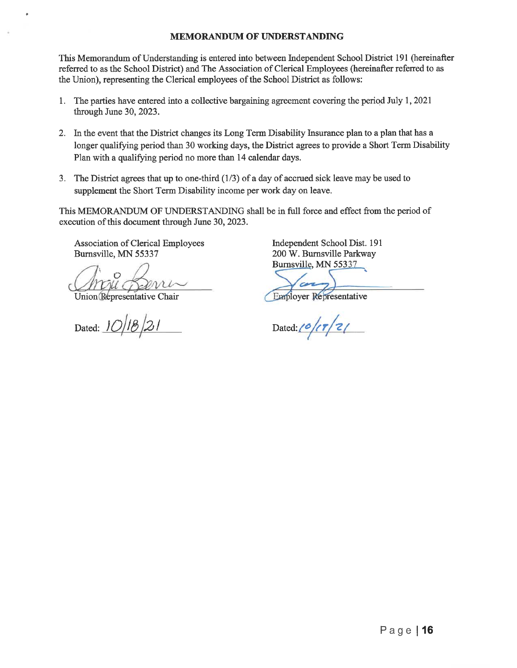### **MEMORANDUM OF UNDERSTANDING**

This Memorandum of Understanding is entered into between Independent School District 191 (hereinafter referred to as the School District) and The Association of Clerical Employees (hereinafter referred to as the Union), representing the Clerical employees of the School District as follows:

- 1. The parties have entered into a collective bargaining agreement covering the period July 1, 2021 through June 30, 2023.
- 2. In the event that the District changes its Long Term Disability Insurance plan to a plan that has a longer qualifying period than 30 working days, the District agrees to provide a Short Term Disability Plan with a qualifying period no more than 14 calendar days.
- 3. The District agrees that up to one-third  $(1/3)$  of a day of accrued sick leave may be used to supplement the Short Term Disability income per work day on leave.

This MEMORANDUM OF UNDERSTANDING shall be in full force and effect from the period of execution of this document through June 30, 2023.

Association of Clerical Employees Burnsville, MN 55337

Union Representative Chair

Dated: 10/18/21

Independent School Dist. 191 200 W. Burnsville Parkway Burnsville, MN 55337

**Employer Representative** 

Dated: $\frac{10}{\sqrt{7}}$